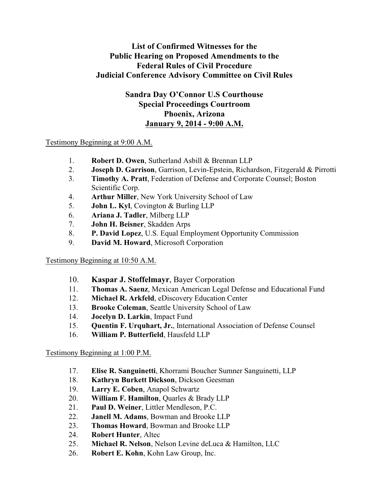## **List of Confirmed Witnesses for the Public Hearing on Proposed Amendments to the Federal Rules of Civil Procedure Judicial Conference Advisory Committee on Civil Rules**

# **Sandra Day O'Connor U.S Courthouse Special Proceedings Courtroom Phoenix, Arizona January 9, 2014 - 9:00 A.M.**

#### Testimony Beginning at 9:00 A.M.

- 1. **Robert D. Owen**, Sutherland Asbill & Brennan LLP
- 2. **Joseph D. Garrison**, Garrison, Levin-Epstein, Richardson, Fitzgerald & Pirrotti
- 3. **Timothy A. Pratt**, Federation of Defense and Corporate Counsel; Boston Scientific Corp.
- 4. **Arthur Miller**, New York University School of Law
- 5. **John L. Kyl**, Covington & Burling LLP
- 6. **Ariana J. Tadler**, Milberg LLP
- 7. **John H. Beisner**, Skadden Arps
- 8. **P. David Lopez**, U.S. Equal Employment Opportunity Commission
- 9. **David M. Howard**, Microsoft Corporation

## Testimony Beginning at 10:50 A.M.

- 10. **Kaspar J. Stoffelmayr**, Bayer Corporation
- 11. **Thomas A. Saenz**, Mexican American Legal Defense and Educational Fund
- 12. **Michael R. Arkfeld**, eDiscovery Education Center
- 13. **Brooke Coleman**, Seattle University School of Law
- 14. **Jocelyn D. Larkin**, Impact Fund
- 15. **Quentin F. Urquhart, Jr.**, International Association of Defense Counsel
- 16. **William P. Butterfield**, Hausfeld LLP

## Testimony Beginning at 1:00 P.M.

- 17. **Elise R. Sanguinetti**, Khorrami Boucher Sumner Sanguinetti, LLP
- 18. **Kathryn Burkett Dickson**, Dickson Geesman
- 19. **Larry E. Coben**, Anapol Schwartz
- 20. **William F. Hamilton**, Quarles & Brady LLP
- 21. **Paul D. Weiner**, Littler Mendleson, P.C.
- 22. **Janell M. Adams**, Bowman and Brooke LLP
- 23. **Thomas Howard**, Bowman and Brooke LLP
- 24. **Robert Hunter**, Altec
- 25. **Michael R. Nelson**, Nelson Levine deLuca & Hamilton, LLC
- 26. **Robert E. Kohn**, Kohn Law Group, Inc.